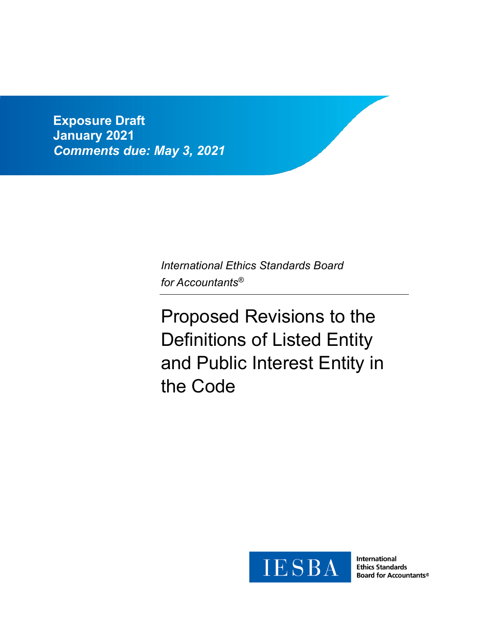**Exposure Draft January 2021** *Comments due: May 3, 2021*

> *International Ethics Standards Board for Accountants®*

Proposed Revisions to the Definitions of Listed Entity and Public Interest Entity in the Code



International **Ethics Standards Board for Accountants®**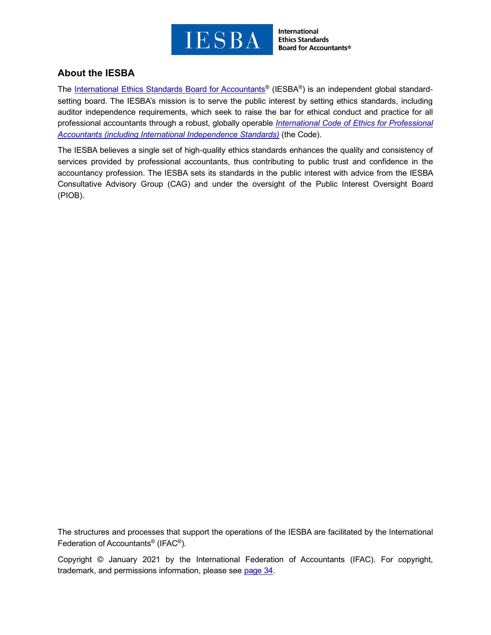

International **Ethics Standards Board for Accountants®** 

# **About the IESBA**

The [International Ethics Standards Board for Accountants](http://www.ethicsboard.org/)® (IESBA®) is an independent global standardsetting board. The IESBA's mission is to serve the public interest by setting ethics standards, including auditor independence requirements, which seek to raise the bar for ethical conduct and practice for all professional accountants through a robust, globally operable *[International Code of Ethics for Professional](https://www.ethicsboard.org/international-code-ethics-professional-accountants)  [Accountants \(including International Independence Standards\)](https://www.ethicsboard.org/international-code-ethics-professional-accountants)* (the Code).

The IESBA believes a single set of high-quality ethics standards enhances the quality and consistency of services provided by professional accountants, thus contributing to public trust and confidence in the accountancy profession. The IESBA sets its standards in the public interest with advice from the IESBA Consultative Advisory Group (CAG) and under the oversight of the Public Interest Oversight Board (PIOB).

The structures and processes that support the operations of the IESBA are facilitated by the International Federation of Accountants® (IFAC® ).

Copyright © January 2021 by the International Federation of Accountants (IFAC). For copyright, trademark, and permissions information, please see [page 34.](#page-33-0)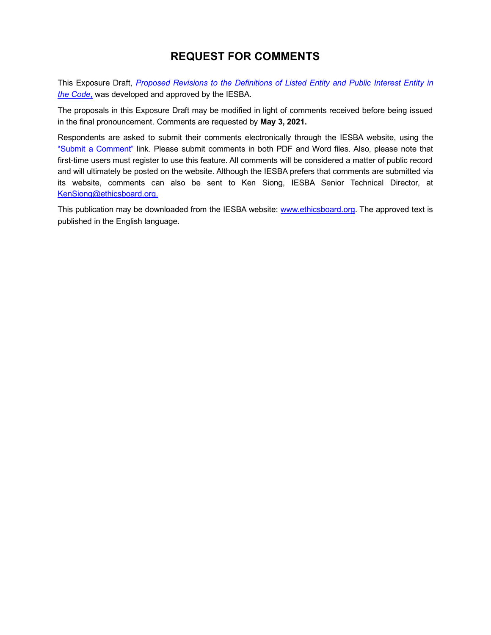# **REQUEST FOR COMMENTS**

This Exposure Draft, *[Proposed Revisions to the Definitions of Listed Entity and Public Interest Entity](https://www.ethicsboard.org/publications/proposed-revisions-definitions-listed-entity-and-public-interest-entity-code) in [the Code](https://www.ethicsboard.org/publications/proposed-revisions-definitions-listed-entity-and-public-interest-entity-code)*, was developed and approved by the IESBA.

The proposals in this Exposure Draft may be modified in light of comments received before being issued in the final pronouncement. Comments are requested by **May 3, 2021.**

Respondents are asked to submit their comments electronically through the IESBA website, using the ["Submit a Comment"](https://www.ethicsboard.org/exposure-draft/submit-comment?exposure-draft=286102) link. Please submit comments in both PDF and Word files. Also, please note that first-time users must register to use this feature. All comments will be considered a matter of public record and will ultimately be posted on the website. Although the IESBA prefers that comments are submitted via its website, comments can also be sent to Ken Siong, IESBA Senior Technical Director, at [KenSiong@ethicsboard.org.](mailto:KenSiong@ethicsboard.org)

This publication may be downloaded from the IESBA website: [www.ethicsboard.org.](http://www.ethicsboard.org/) The approved text is published in the English language.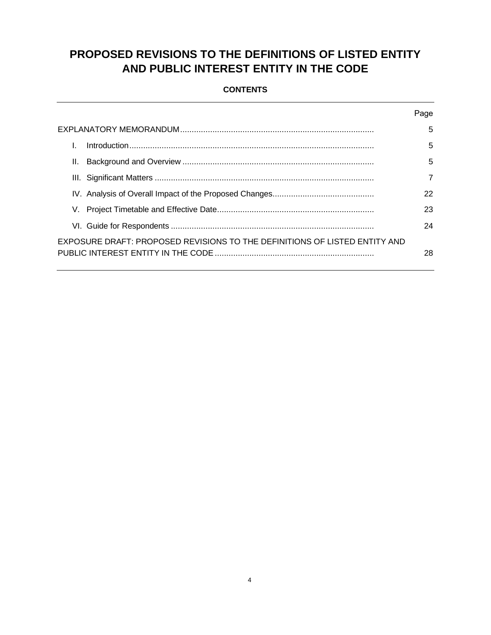# **PROPOSED REVISIONS TO THE DEFINITIONS OF LISTED ENTITY AND PUBLIC INTEREST ENTITY IN THE CODE**

## **CONTENTS**

|                                                                            | Page           |
|----------------------------------------------------------------------------|----------------|
|                                                                            | 5              |
|                                                                            | 5              |
| Ш.                                                                         | 5              |
|                                                                            | $\overline{7}$ |
|                                                                            | 22             |
|                                                                            | 23             |
|                                                                            | 24             |
| EXPOSURE DRAFT: PROPOSED REVISIONS TO THE DEFINITIONS OF LISTED ENTITY AND | 28             |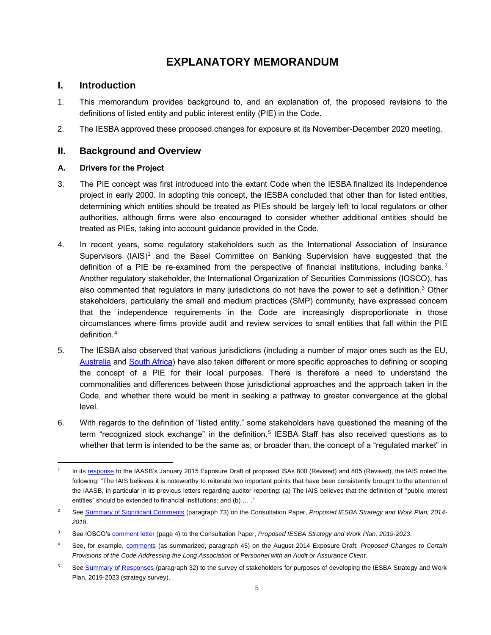# **EXPLANATORY MEMORANDUM**

# <span id="page-4-1"></span><span id="page-4-0"></span>**I. Introduction**

- 1. This memorandum provides background to, and an explanation of, the proposed revisions to the definitions of listed entity and public interest entity (PIE) in the Code.
- <span id="page-4-2"></span>2. The IESBA approved these proposed changes for exposure at its November-December 2020 meeting.

# **II. Background and Overview**

### **A. Drivers for the Project**

- 3. The PIE concept was first introduced into the extant Code when the IESBA finalized its Independence project in early 2000. In adopting this concept, the IESBA concluded that other than for listed entities, determining which entities should be treated as PIEs should be largely left to local regulators or other authorities, although firms were also encouraged to consider whether additional entities should be treated as PIEs, taking into account guidance provided in the Code.
- 4. In recent years, some regulatory stakeholders such as the International Association of Insurance Supervisors (IAIS)<sup>1</sup> and the Basel Committee on Banking Supervision have suggested that the definition of a PIE be re-examined from the perspective of financial institutions, including banks.<sup>2</sup> Another regulatory stakeholder, the International Organization of Securities Commissions (IOSCO), has also commented that regulators in many jurisdictions do not have the power to set a definition.<sup>3</sup> Other stakeholders, particularly the small and medium practices (SMP) community, have expressed concern that the independence requirements in the Code are increasingly disproportionate in those circumstances where firms provide audit and review services to small entities that fall within the PIE definition.<sup>4</sup>
- 5. The IESBA also observed that various jurisdictions (including a number of major ones such as the EU, [Australia](https://www.apesb.org.au/uploads/standards/apesb_standards/amendingt1.pdf) and [South Africa\)](https://www.irba.co.za/upload/Final%20Amendments%20relating%20to%20Public%20Interest%20Entities(1).pdf) have also taken different or more specific approaches to defining or scoping the concept of a PIE for their local purposes. There is therefore a need to understand the commonalities and differences between those jurisdictional approaches and the approach taken in the Code, and whether there would be merit in seeking a pathway to greater convergence at the global level.
- 6. With regards to the definition of "listed entity," some stakeholders have questioned the meaning of the term "recognized stock exchange" in the definition.<sup>5</sup> IESBA Staff has also received questions as to whether that term is intended to be the same as, or broader than, the concept of a "regulated market" in

<sup>1</sup> In its [response](https://www.ifac.org/system/files/publications/exposure-drafts/comments/150422IAIScommentsonIAASBEDonISAs800-805.pdf) to the IAASB's January 2015 Exposure Draft of proposed ISAs 800 (Revised) and 805 (Revised), the IAIS noted the following: "The IAIS believes it is noteworthy to reiterate two important points that have been consistently brought to the attention of the IAASB, in particular in its previous letters regarding auditor reporting: (a) The IAIS believes that the definition of "public interest entities" should be extended to financial institutions; and (b) … ."

<sup>2</sup> Se[e Summary of Significant Comments](https://www.ifac.org/system/files/meetings/files/Agenda%20Item%207-A%20-%20SWP%20-%20Summary%20of%20Significant%20CP%20Comments.pdf) (paragraph 73) on the Consultation Paper, *Proposed IESBA Strategy and Work Plan, 2014- 2018*.

<sup>&</sup>lt;sup>3</sup> See IOSCO's **comment letter** (page 4) to the Consultation Paper, *Proposed IESBA Strategy and Work Plan, 2019-2023*.

<sup>4</sup> See, for example, [comments](https://www.ethicsboard.org/system/files/meetings/files/Agenda%20Item%208-A%20-%20Summary%20of%20Significant%20ED%20Comments%20on%20Key%20Matters%20(PDF).pdf) (as summarized, paragraph 45) on the August 2014 Exposure Draft, *Proposed Changes to Certain Provisions of the Code Addressing the Long Association of Personnel with an Audit or Assurance Client*.

<sup>&</sup>lt;sup>5</sup> Se[e Summary of Responses](https://www.ifac.org/system/files/meetings/files/Agenda-Item-9A-SWP-Survey-Summary-of-Responses-and-Initial-PC-Analysis.pdf) (paragraph 32) to the survey of stakeholders for purposes of developing the IESBA Strategy and Work Plan, 2019-2023 (strategy survey).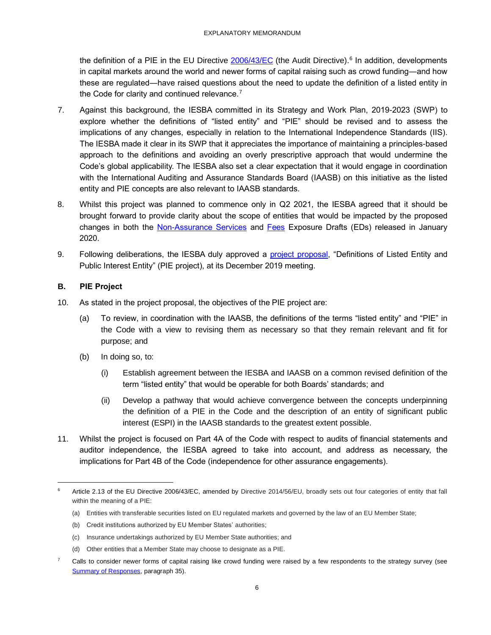the definition of a PIE in the EU Directive [2006/43/EC](https://eur-lex.europa.eu/legal-content/EN/TXT/?uri=CELEX%3A02006L0043-20140616) (the Audit Directive).<sup>6</sup> In addition, developments in capital markets around the world and newer forms of capital raising such as crowd funding―and how these are regulated―have raised questions about the need to update the definition of a listed entity in the Code for clarity and continued relevance.<sup>7</sup>

- 7. Against this background, the IESBA committed in its Strategy and Work Plan, 2019-2023 (SWP) to explore whether the definitions of "listed entity" and "PIE" should be revised and to assess the implications of any changes, especially in relation to the International Independence Standards (IIS). The IESBA made it clear in its SWP that it appreciates the importance of maintaining a principles-based approach to the definitions and avoiding an overly prescriptive approach that would undermine the Code's global applicability. The IESBA also set a clear expectation that it would engage in coordination with the International Auditing and Assurance Standards Board (IAASB) on this initiative as the listed entity and PIE concepts are also relevant to IAASB standards.
- 8. Whilst this project was planned to commence only in Q2 2021, the IESBA agreed that it should be brought forward to provide clarity about the scope of entities that would be impacted by the proposed changes in both the [Non-Assurance Services](https://www.ethicsboard.org/publications/proposed-revisions-non-assurance-services-provisions-code) and [Fees](https://www.ethicsboard.org/publications/proposed-revisions-fee-related-provisions-code) Exposure Drafts (EDs) released in January 2020.
- 9. Following deliberations, the IESBA duly approved a [project proposal,](https://www.ifac.org/system/files/meetings/files/Agenda-Item-3-Definitions-of-Listed-Entity-and-PIE-Approved-Project-Proposal.pdf) "Definitions of Listed Entity and Public Interest Entity" (PIE project), at its December 2019 meeting.

### **B. PIE Project**

- 10. As stated in the project proposal, the objectives of the PIE project are:
	- (a) To review, in coordination with the IAASB, the definitions of the terms "listed entity" and "PIE" in the Code with a view to revising them as necessary so that they remain relevant and fit for purpose; and
	- (b) In doing so, to:
		- (i) Establish agreement between the IESBA and IAASB on a common revised definition of the term "listed entity" that would be operable for both Boards' standards; and
		- (ii) Develop a pathway that would achieve convergence between the concepts underpinning the definition of a PIE in the Code and the description of an entity of significant public interest (ESPI) in the IAASB standards to the greatest extent possible.
- 11. Whilst the project is focused on Part 4A of the Code with respect to audits of financial statements and auditor independence, the IESBA agreed to take into account, and address as necessary, the implications for Part 4B of the Code (independence for other assurance engagements).

- (a) Entities with transferable securities listed on EU regulated markets and governed by the law of an EU Member State;
- (b) Credit institutions authorized by EU Member States' authorities;
- (c) Insurance undertakings authorized by EU Member State authorities; and
- (d) Other entities that a Member State may choose to designate as a PIE.

Article 2.13 of the EU Directive 2006/43/EC, amended by Directive 2014/56/EU, broadly sets out four categories of entity that fall within the meaning of a PIE:

 $7$  Calls to consider newer forms of capital raising like crowd funding were raised by a few respondents to the strategy survey (see [Summary of Responses,](https://www.ifac.org/system/files/meetings/files/Agenda-Item-9A-SWP-Survey-Summary-of-Responses-and-Initial-PC-Analysis.pdf) paragraph 35).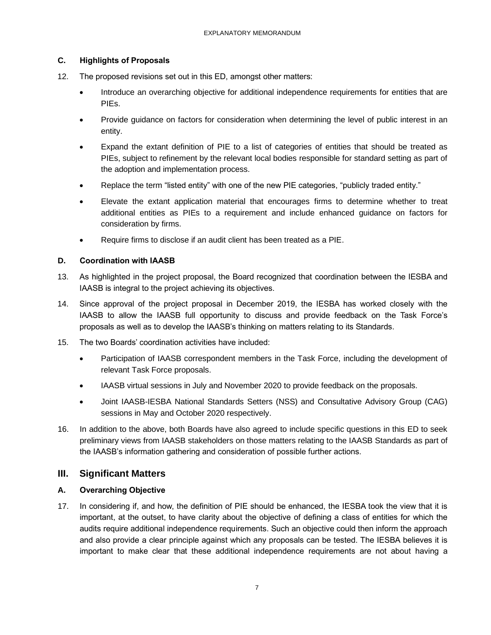### **C. Highlights of Proposals**

- 12. The proposed revisions set out in this ED, amongst other matters:
	- Introduce an overarching objective for additional independence requirements for entities that are PIEs.
	- Provide guidance on factors for consideration when determining the level of public interest in an entity.
	- Expand the extant definition of PIE to a list of categories of entities that should be treated as PIEs, subject to refinement by the relevant local bodies responsible for standard setting as part of the adoption and implementation process.
	- Replace the term "listed entity" with one of the new PIE categories, "publicly traded entity."
	- Elevate the extant application material that encourages firms to determine whether to treat additional entities as PIEs to a requirement and include enhanced guidance on factors for consideration by firms.
	- Require firms to disclose if an audit client has been treated as a PIE.

### **D. Coordination with IAASB**

- 13. As highlighted in the project proposal, the Board recognized that coordination between the IESBA and IAASB is integral to the project achieving its objectives.
- 14. Since approval of the project proposal in December 2019, the IESBA has worked closely with the IAASB to allow the IAASB full opportunity to discuss and provide feedback on the Task Force's proposals as well as to develop the IAASB's thinking on matters relating to its Standards.
- 15. The two Boards' coordination activities have included:
	- Participation of IAASB correspondent members in the Task Force, including the development of relevant Task Force proposals.
	- IAASB virtual sessions in July and November 2020 to provide feedback on the proposals.
	- Joint IAASB-IESBA National Standards Setters (NSS) and Consultative Advisory Group (CAG) sessions in May and October 2020 respectively.
- 16. In addition to the above, both Boards have also agreed to include specific questions in this ED to seek preliminary views from IAASB stakeholders on those matters relating to the IAASB Standards as part of the IAASB's information gathering and consideration of possible further actions.

# <span id="page-6-0"></span>**III. Significant Matters**

### **A. Overarching Objective**

17. In considering if, and how, the definition of PIE should be enhanced, the IESBA took the view that it is important, at the outset, to have clarity about the objective of defining a class of entities for which the audits require additional independence requirements. Such an objective could then inform the approach and also provide a clear principle against which any proposals can be tested. The IESBA believes it is important to make clear that these additional independence requirements are not about having a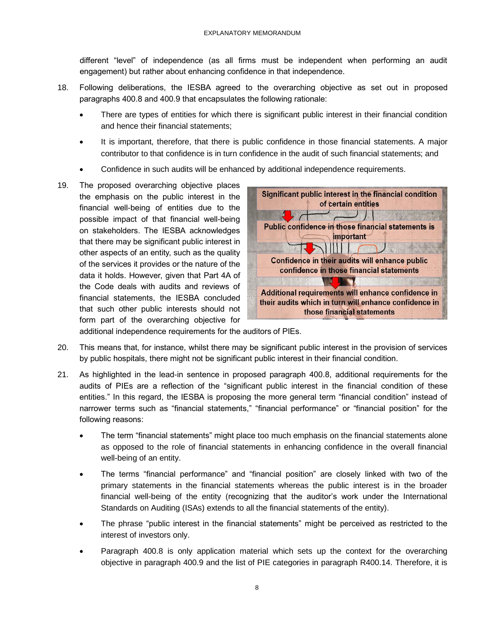different "level" of independence (as all firms must be independent when performing an audit engagement) but rather about enhancing confidence in that independence.

- 18. Following deliberations, the IESBA agreed to the overarching objective as set out in proposed paragraphs 400.8 and 400.9 that encapsulates the following rationale:
	- There are types of entities for which there is significant public interest in their financial condition and hence their financial statements;
	- It is important, therefore, that there is public confidence in those financial statements. A major contributor to that confidence is in turn confidence in the audit of such financial statements; and
	- Confidence in such audits will be enhanced by additional independence requirements.
- 19. The proposed overarching objective places the emphasis on the public interest in the financial well-being of entities due to the possible impact of that financial well-being on stakeholders. The IESBA acknowledges that there may be significant public interest in other aspects of an entity, such as the quality of the services it provides or the nature of the data it holds. However, given that Part 4A of the Code deals with audits and reviews of financial statements, the IESBA concluded that such other public interests should not form part of the overarching objective for



additional independence requirements for the auditors of PIEs.

- 20. This means that, for instance, whilst there may be significant public interest in the provision of services by public hospitals, there might not be significant public interest in their financial condition.
- 21. As highlighted in the lead-in sentence in proposed paragraph 400.8, additional requirements for the audits of PIEs are a reflection of the "significant public interest in the financial condition of these entities." In this regard, the IESBA is proposing the more general term "financial condition" instead of narrower terms such as "financial statements," "financial performance" or "financial position" for the following reasons:
	- The term "financial statements" might place too much emphasis on the financial statements alone as opposed to the role of financial statements in enhancing confidence in the overall financial well-being of an entity.
	- The terms "financial performance" and "financial position" are closely linked with two of the primary statements in the financial statements whereas the public interest is in the broader financial well-being of the entity (recognizing that the auditor's work under the International Standards on Auditing (ISAs) extends to all the financial statements of the entity).
	- The phrase "public interest in the financial statements" might be perceived as restricted to the interest of investors only.
	- Paragraph 400.8 is only application material which sets up the context for the overarching objective in paragraph 400.9 and the list of PIE categories in paragraph R400.14. Therefore, it is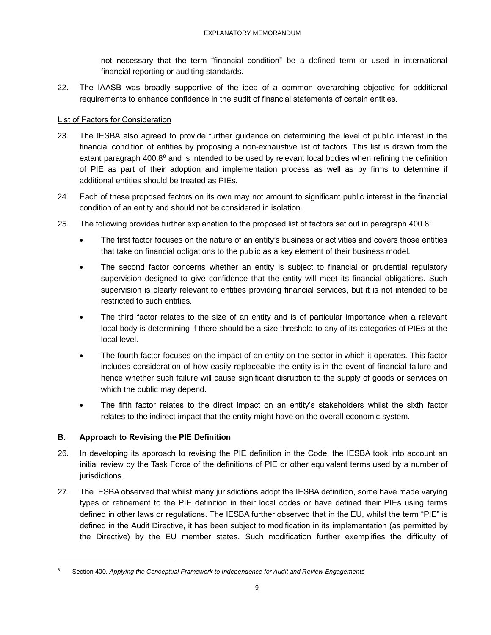not necessary that the term "financial condition" be a defined term or used in international financial reporting or auditing standards.

22. The IAASB was broadly supportive of the idea of a common overarching objective for additional requirements to enhance confidence in the audit of financial statements of certain entities.

### List of Factors for Consideration

- 23. The IESBA also agreed to provide further guidance on determining the level of public interest in the financial condition of entities by proposing a non-exhaustive list of factors. This list is drawn from the extant paragraph 400.8<sup>8</sup> and is intended to be used by relevant local bodies when refining the definition of PIE as part of their adoption and implementation process as well as by firms to determine if additional entities should be treated as PIEs.
- 24. Each of these proposed factors on its own may not amount to significant public interest in the financial condition of an entity and should not be considered in isolation.
- 25. The following provides further explanation to the proposed list of factors set out in paragraph 400.8:
	- The first factor focuses on the nature of an entity's business or activities and covers those entities that take on financial obligations to the public as a key element of their business model.
	- The second factor concerns whether an entity is subject to financial or prudential regulatory supervision designed to give confidence that the entity will meet its financial obligations. Such supervision is clearly relevant to entities providing financial services, but it is not intended to be restricted to such entities.
	- The third factor relates to the size of an entity and is of particular importance when a relevant local body is determining if there should be a size threshold to any of its categories of PIEs at the local level.
	- The fourth factor focuses on the impact of an entity on the sector in which it operates. This factor includes consideration of how easily replaceable the entity is in the event of financial failure and hence whether such failure will cause significant disruption to the supply of goods or services on which the public may depend.
	- The fifth factor relates to the direct impact on an entity's stakeholders whilst the sixth factor relates to the indirect impact that the entity might have on the overall economic system.

### **B. Approach to Revising the PIE Definition**

- 26. In developing its approach to revising the PIE definition in the Code, the IESBA took into account an initial review by the Task Force of the definitions of PIE or other equivalent terms used by a number of jurisdictions.
- 27. The IESBA observed that whilst many jurisdictions adopt the IESBA definition, some have made varying types of refinement to the PIE definition in their local codes or have defined their PIEs using terms defined in other laws or regulations. The IESBA further observed that in the EU, whilst the term "PIE" is defined in the Audit Directive, it has been subject to modification in its implementation (as permitted by the Directive) by the EU member states. Such modification further exemplifies the difficulty of

<sup>8</sup> Section 400, *Applying the Conceptual Framework to Independence for Audit and Review Engagements*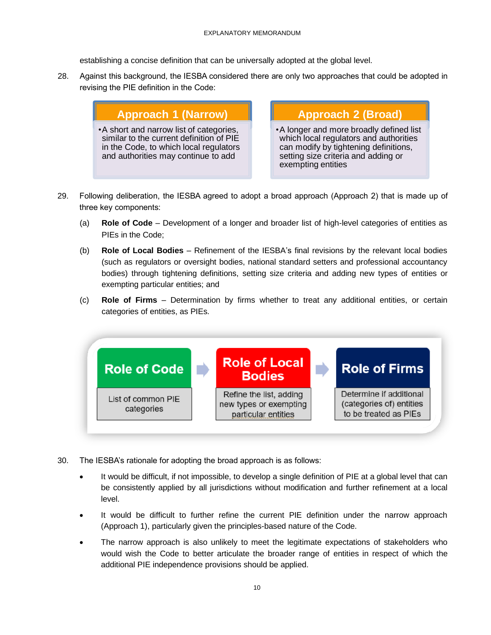establishing a concise definition that can be universally adopted at the global level.

28. Against this background, the IESBA considered there are only two approaches that could be adopted in revising the PIE definition in the Code:

# **Approach 1 (Narrow)**

•A short and narrow list of categories, similar to the current definition of PIE in the Code, to which local regulators and authorities may continue to add

**Approach 2 (Broad)**

•A longer and more broadly defined list which local regulators and authorities can modify by tightening definitions, setting size criteria and adding or exempting entities

- 29. Following deliberation, the IESBA agreed to adopt a broad approach (Approach 2) that is made up of three key components:
	- (a) **Role of Code** Development of a longer and broader list of high-level categories of entities as PIEs in the Code;
	- (b) **Role of Local Bodies** Refinement of the IESBA's final revisions by the relevant local bodies (such as regulators or oversight bodies, national standard setters and professional accountancy bodies) through tightening definitions, setting size criteria and adding new types of entities or exempting particular entities; and
	- (c) **Role of Firms** Determination by firms whether to treat any additional entities, or certain categories of entities, as PIEs.



- 30. The IESBA's rationale for adopting the broad approach is as follows:
	- It would be difficult, if not impossible, to develop a single definition of PIE at a global level that can be consistently applied by all jurisdictions without modification and further refinement at a local level.
	- It would be difficult to further refine the current PIE definition under the narrow approach (Approach 1), particularly given the principles-based nature of the Code.
	- The narrow approach is also unlikely to meet the legitimate expectations of stakeholders who would wish the Code to better articulate the broader range of entities in respect of which the additional PIE independence provisions should be applied.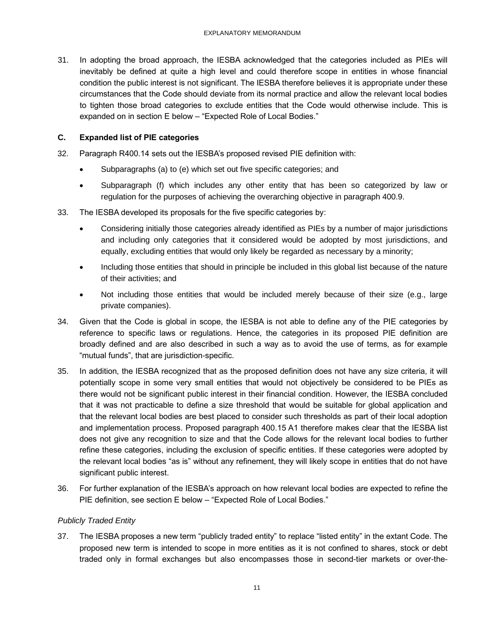31. In adopting the broad approach, the IESBA acknowledged that the categories included as PIEs will inevitably be defined at quite a high level and could therefore scope in entities in whose financial condition the public interest is not significant. The IESBA therefore believes it is appropriate under these circumstances that the Code should deviate from its normal practice and allow the relevant local bodies to tighten those broad categories to exclude entities that the Code would otherwise include. This is expanded on in section E below – "Expected Role of Local Bodies."

### **C. Expanded list of PIE categories**

- 32. Paragraph R400.14 sets out the IESBA's proposed revised PIE definition with:
	- Subparagraphs (a) to (e) which set out five specific categories; and
	- Subparagraph (f) which includes any other entity that has been so categorized by law or regulation for the purposes of achieving the overarching objective in paragraph 400.9.
- 33. The IESBA developed its proposals for the five specific categories by:
	- Considering initially those categories already identified as PIEs by a number of major jurisdictions and including only categories that it considered would be adopted by most jurisdictions, and equally, excluding entities that would only likely be regarded as necessary by a minority;
	- Including those entities that should in principle be included in this global list because of the nature of their activities; and
	- Not including those entities that would be included merely because of their size (e.g., large private companies).
- 34. Given that the Code is global in scope, the IESBA is not able to define any of the PIE categories by reference to specific laws or regulations. Hence, the categories in its proposed PIE definition are broadly defined and are also described in such a way as to avoid the use of terms, as for example "mutual funds", that are jurisdiction-specific.
- 35. In addition, the IESBA recognized that as the proposed definition does not have any size criteria, it will potentially scope in some very small entities that would not objectively be considered to be PIEs as there would not be significant public interest in their financial condition. However, the IESBA concluded that it was not practicable to define a size threshold that would be suitable for global application and that the relevant local bodies are best placed to consider such thresholds as part of their local adoption and implementation process. Proposed paragraph 400.15 A1 therefore makes clear that the IESBA list does not give any recognition to size and that the Code allows for the relevant local bodies to further refine these categories, including the exclusion of specific entities. If these categories were adopted by the relevant local bodies "as is" without any refinement, they will likely scope in entities that do not have significant public interest.
- 36. For further explanation of the IESBA's approach on how relevant local bodies are expected to refine the PIE definition, see section E below – "Expected Role of Local Bodies."

### *Publicly Traded Entity*

37. The IESBA proposes a new term "publicly traded entity" to replace "listed entity" in the extant Code. The proposed new term is intended to scope in more entities as it is not confined to shares, stock or debt traded only in formal exchanges but also encompasses those in second-tier markets or over-the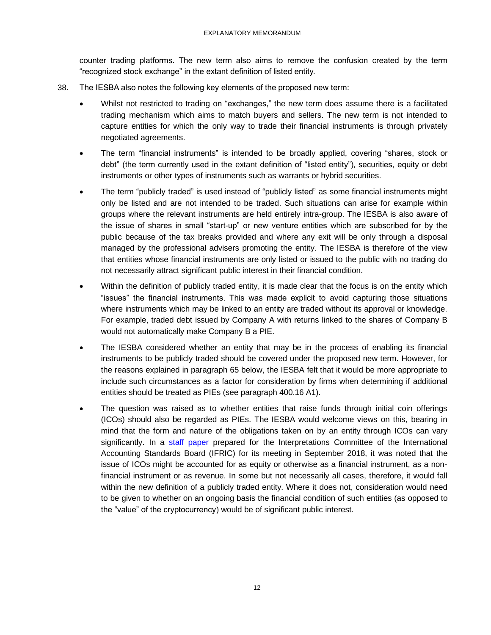counter trading platforms. The new term also aims to remove the confusion created by the term "recognized stock exchange" in the extant definition of listed entity.

- 38. The IESBA also notes the following key elements of the proposed new term:
	- Whilst not restricted to trading on "exchanges," the new term does assume there is a facilitated trading mechanism which aims to match buyers and sellers. The new term is not intended to capture entities for which the only way to trade their financial instruments is through privately negotiated agreements.
	- The term "financial instruments" is intended to be broadly applied, covering "shares, stock or debt" (the term currently used in the extant definition of "listed entity"), securities, equity or debt instruments or other types of instruments such as warrants or hybrid securities.
	- The term "publicly traded" is used instead of "publicly listed" as some financial instruments might only be listed and are not intended to be traded. Such situations can arise for example within groups where the relevant instruments are held entirely intra-group. The IESBA is also aware of the issue of shares in small "start-up" or new venture entities which are subscribed for by the public because of the tax breaks provided and where any exit will be only through a disposal managed by the professional advisers promoting the entity. The IESBA is therefore of the view that entities whose financial instruments are only listed or issued to the public with no trading do not necessarily attract significant public interest in their financial condition.
	- Within the definition of publicly traded entity, it is made clear that the focus is on the entity which "issues" the financial instruments. This was made explicit to avoid capturing those situations where instruments which may be linked to an entity are traded without its approval or knowledge. For example, traded debt issued by Company A with returns linked to the shares of Company B would not automatically make Company B a PIE.
	- The IESBA considered whether an entity that may be in the process of enabling its financial instruments to be publicly traded should be covered under the proposed new term. However, for the reasons explained in paragraph 65 below, the IESBA felt that it would be more appropriate to include such circumstances as a factor for consideration by firms when determining if additional entities should be treated as PIEs (see paragraph 400.16 A1).
	- The question was raised as to whether entities that raise funds through initial coin offerings (ICOs) should also be regarded as PIEs. The IESBA would welcome views on this, bearing in mind that the form and nature of the obligations taken on by an entity through ICOs can vary significantly. In a [staff paper](https://www.ifrs.org/-/media/feature/meetings/2018/september/ifric/ap04c.pdf) prepared for the Interpretations Committee of the International Accounting Standards Board (IFRIC) for its meeting in September 2018, it was noted that the issue of ICOs might be accounted for as equity or otherwise as a financial instrument, as a nonfinancial instrument or as revenue. In some but not necessarily all cases, therefore, it would fall within the new definition of a publicly traded entity. Where it does not, consideration would need to be given to whether on an ongoing basis the financial condition of such entities (as opposed to the "value" of the cryptocurrency) would be of significant public interest.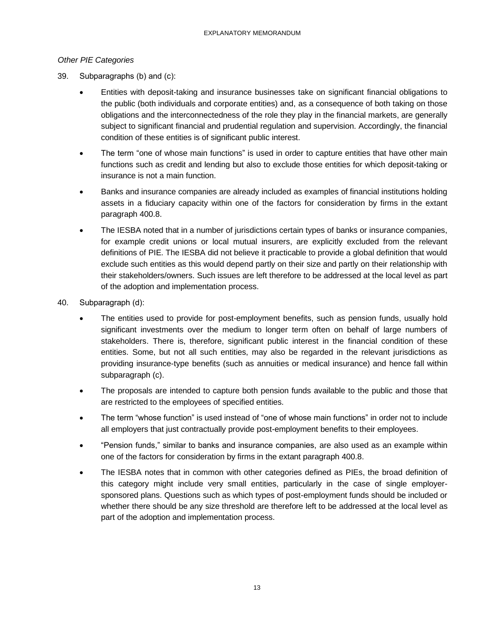### *Other PIE Categories*

- 39. Subparagraphs (b) and (c):
	- Entities with deposit-taking and insurance businesses take on significant financial obligations to the public (both individuals and corporate entities) and, as a consequence of both taking on those obligations and the interconnectedness of the role they play in the financial markets, are generally subject to significant financial and prudential regulation and supervision. Accordingly, the financial condition of these entities is of significant public interest.
	- The term "one of whose main functions" is used in order to capture entities that have other main functions such as credit and lending but also to exclude those entities for which deposit-taking or insurance is not a main function.
	- Banks and insurance companies are already included as examples of financial institutions holding assets in a fiduciary capacity within one of the factors for consideration by firms in the extant paragraph 400.8.
	- The IESBA noted that in a number of jurisdictions certain types of banks or insurance companies, for example credit unions or local mutual insurers, are explicitly excluded from the relevant definitions of PIE. The IESBA did not believe it practicable to provide a global definition that would exclude such entities as this would depend partly on their size and partly on their relationship with their stakeholders/owners. Such issues are left therefore to be addressed at the local level as part of the adoption and implementation process.
- 40. Subparagraph (d):
	- The entities used to provide for post-employment benefits, such as pension funds, usually hold significant investments over the medium to longer term often on behalf of large numbers of stakeholders. There is, therefore, significant public interest in the financial condition of these entities. Some, but not all such entities, may also be regarded in the relevant jurisdictions as providing insurance-type benefits (such as annuities or medical insurance) and hence fall within subparagraph (c).
	- The proposals are intended to capture both pension funds available to the public and those that are restricted to the employees of specified entities.
	- The term "whose function" is used instead of "one of whose main functions" in order not to include all employers that just contractually provide post-employment benefits to their employees.
	- "Pension funds," similar to banks and insurance companies, are also used as an example within one of the factors for consideration by firms in the extant paragraph 400.8.
	- The IESBA notes that in common with other categories defined as PIEs, the broad definition of this category might include very small entities, particularly in the case of single employersponsored plans. Questions such as which types of post-employment funds should be included or whether there should be any size threshold are therefore left to be addressed at the local level as part of the adoption and implementation process.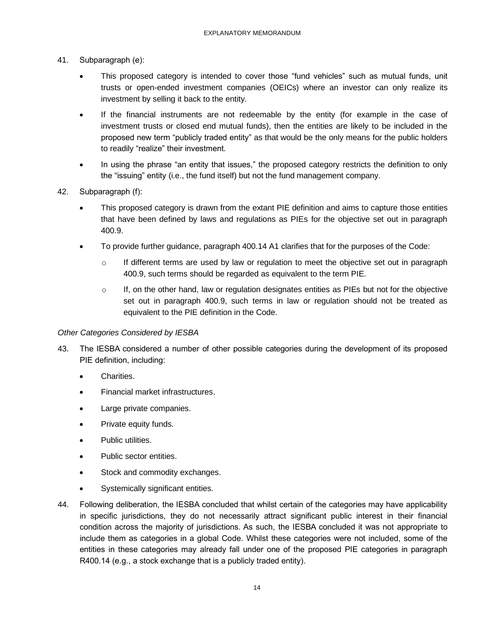- 41. Subparagraph (e):
	- This proposed category is intended to cover those "fund vehicles" such as mutual funds, unit trusts or open-ended investment companies (OEICs) where an investor can only realize its investment by selling it back to the entity.
	- If the financial instruments are not redeemable by the entity (for example in the case of investment trusts or closed end mutual funds), then the entities are likely to be included in the proposed new term "publicly traded entity" as that would be the only means for the public holders to readily "realize" their investment.
	- In using the phrase "an entity that issues," the proposed category restricts the definition to only the "issuing" entity (i.e., the fund itself) but not the fund management company.
- 42. Subparagraph (f):
	- This proposed category is drawn from the extant PIE definition and aims to capture those entities that have been defined by laws and regulations as PIEs for the objective set out in paragraph 400.9.
	- To provide further guidance, paragraph 400.14 A1 clarifies that for the purposes of the Code:
		- $\circ$  If different terms are used by law or regulation to meet the objective set out in paragraph 400.9, such terms should be regarded as equivalent to the term PIE.
		- $\circ$  If, on the other hand, law or regulation designates entities as PIEs but not for the objective set out in paragraph 400.9, such terms in law or regulation should not be treated as equivalent to the PIE definition in the Code.

#### *Other Categories Considered by IESBA*

- 43. The IESBA considered a number of other possible categories during the development of its proposed PIE definition, including:
	- Charities.
	- Financial market infrastructures.
	- Large private companies.
	- Private equity funds.
	- Public utilities.
	- Public sector entities.
	- Stock and commodity exchanges.
	- Systemically significant entities.
- 44. Following deliberation, the IESBA concluded that whilst certain of the categories may have applicability in specific jurisdictions, they do not necessarily attract significant public interest in their financial condition across the majority of jurisdictions. As such, the IESBA concluded it was not appropriate to include them as categories in a global Code. Whilst these categories were not included, some of the entities in these categories may already fall under one of the proposed PIE categories in paragraph R400.14 (e.g., a stock exchange that is a publicly traded entity).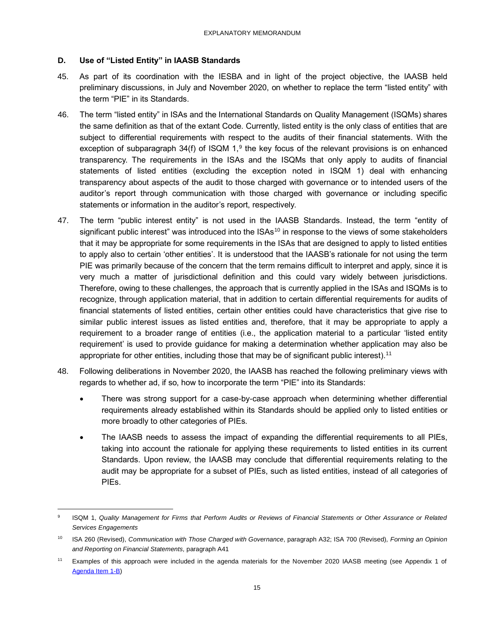### **D. Use of "Listed Entity" in IAASB Standards**

- 45. As part of its coordination with the IESBA and in light of the project objective, the IAASB held preliminary discussions, in July and November 2020, on whether to replace the term "listed entity" with the term "PIE" in its Standards.
- 46. The term "listed entity" in ISAs and the International Standards on Quality Management (ISQMs) shares the same definition as that of the extant Code. Currently, listed entity is the only class of entities that are subject to differential requirements with respect to the audits of their financial statements. With the exception of subparagraph  $34(f)$  of ISQM  $1$ ,<sup>9</sup> the key focus of the relevant provisions is on enhanced transparency. The requirements in the ISAs and the ISQMs that only apply to audits of financial statements of listed entities (excluding the exception noted in ISQM 1) deal with enhancing transparency about aspects of the audit to those charged with governance or to intended users of the auditor's report through communication with those charged with governance or including specific statements or information in the auditor's report, respectively.
- 47. The term "public interest entity" is not used in the IAASB Standards. Instead, the term "entity of significant public interest" was introduced into the ISAs<sup>10</sup> in response to the views of some stakeholders that it may be appropriate for some requirements in the ISAs that are designed to apply to listed entities to apply also to certain 'other entities'. It is understood that the IAASB's rationale for not using the term PIE was primarily because of the concern that the term remains difficult to interpret and apply, since it is very much a matter of jurisdictional definition and this could vary widely between jurisdictions. Therefore, owing to these challenges, the approach that is currently applied in the ISAs and ISQMs is to recognize, through application material, that in addition to certain differential requirements for audits of financial statements of listed entities, certain other entities could have characteristics that give rise to similar public interest issues as listed entities and, therefore, that it may be appropriate to apply a requirement to a broader range of entities (i.e., the application material to a particular 'listed entity requirement' is used to provide guidance for making a determination whether application may also be appropriate for other entities, including those that may be of significant public interest).<sup>11</sup>
- 48. Following deliberations in November 2020, the IAASB has reached the following preliminary views with regards to whether ad, if so, how to incorporate the term "PIE" into its Standards:
	- There was strong support for a case-by-case approach when determining whether differential requirements already established within its Standards should be applied only to listed entities or more broadly to other categories of PIEs.
	- The IAASB needs to assess the impact of expanding the differential requirements to all PIEs, taking into account the rationale for applying these requirements to listed entities in its current Standards. Upon review, the IAASB may conclude that differential requirements relating to the audit may be appropriate for a subset of PIEs, such as listed entities, instead of all categories of PIEs.

<sup>9</sup> ISQM 1, *Quality Management for Firms that Perform Audits or Reviews of Financial Statements or Other Assurance or Related Services Engagements*

<sup>10</sup> ISA 260 (Revised), *Communication with Those Charged with Governance*, paragraph A32; ISA 700 (Revised)*, Forming an Opinion and Reporting on Financial Statements,* paragraph A41

<sup>11</sup> Examples of this approach were included in the agenda materials for the November 2020 IAASB meeting (see Appendix 1 of [Agenda Item 1-B\)](https://www.iaasb.org/meetings/iaasb-conference-call-november-10-11-2020)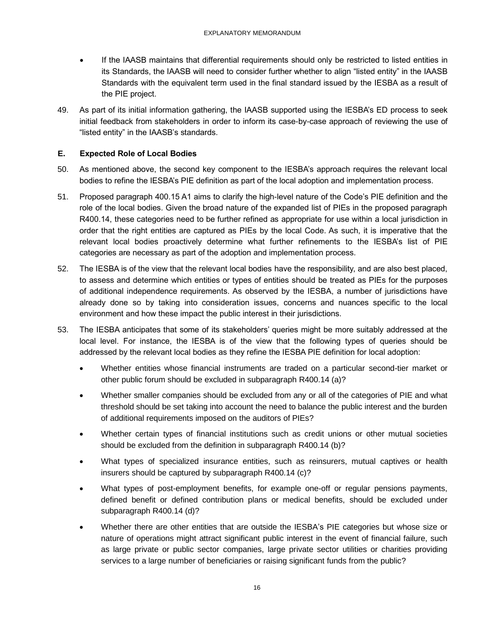- If the IAASB maintains that differential requirements should only be restricted to listed entities in its Standards, the IAASB will need to consider further whether to align "listed entity" in the IAASB Standards with the equivalent term used in the final standard issued by the IESBA as a result of the PIE project.
- 49. As part of its initial information gathering, the IAASB supported using the IESBA's ED process to seek initial feedback from stakeholders in order to inform its case-by-case approach of reviewing the use of "listed entity" in the IAASB's standards.

### **E. Expected Role of Local Bodies**

- 50. As mentioned above, the second key component to the IESBA's approach requires the relevant local bodies to refine the IESBA's PIE definition as part of the local adoption and implementation process.
- 51. Proposed paragraph 400.15 A1 aims to clarify the high-level nature of the Code's PIE definition and the role of the local bodies. Given the broad nature of the expanded list of PIEs in the proposed paragraph R400.14, these categories need to be further refined as appropriate for use within a local jurisdiction in order that the right entities are captured as PIEs by the local Code. As such, it is imperative that the relevant local bodies proactively determine what further refinements to the IESBA's list of PIE categories are necessary as part of the adoption and implementation process.
- 52. The IESBA is of the view that the relevant local bodies have the responsibility, and are also best placed, to assess and determine which entities or types of entities should be treated as PIEs for the purposes of additional independence requirements. As observed by the IESBA, a number of jurisdictions have already done so by taking into consideration issues, concerns and nuances specific to the local environment and how these impact the public interest in their jurisdictions.
- 53. The IESBA anticipates that some of its stakeholders' queries might be more suitably addressed at the local level. For instance, the IESBA is of the view that the following types of queries should be addressed by the relevant local bodies as they refine the IESBA PIE definition for local adoption:
	- Whether entities whose financial instruments are traded on a particular second-tier market or other public forum should be excluded in subparagraph R400.14 (a)?
	- Whether smaller companies should be excluded from any or all of the categories of PIE and what threshold should be set taking into account the need to balance the public interest and the burden of additional requirements imposed on the auditors of PIEs?
	- Whether certain types of financial institutions such as credit unions or other mutual societies should be excluded from the definition in subparagraph R400.14 (b)?
	- What types of specialized insurance entities, such as reinsurers, mutual captives or health insurers should be captured by subparagraph R400.14 (c)?
	- What types of post-employment benefits, for example one-off or regular pensions payments, defined benefit or defined contribution plans or medical benefits, should be excluded under subparagraph R400.14 (d)?
	- Whether there are other entities that are outside the IESBA's PIE categories but whose size or nature of operations might attract significant public interest in the event of financial failure, such as large private or public sector companies, large private sector utilities or charities providing services to a large number of beneficiaries or raising significant funds from the public?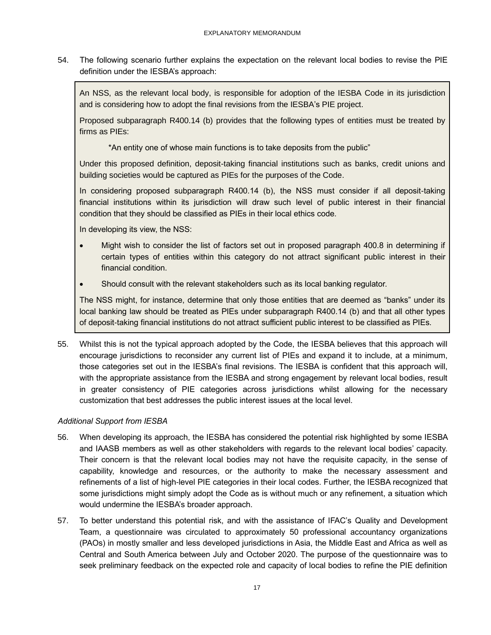54. The following scenario further explains the expectation on the relevant local bodies to revise the PIE definition under the IESBA's approach:

An NSS, as the relevant local body, is responsible for adoption of the IESBA Code in its jurisdiction and is considering how to adopt the final revisions from the IESBA's PIE project.

Proposed subparagraph R400.14 (b) provides that the following types of entities must be treated by firms as PIEs:

\*An entity one of whose main functions is to take deposits from the public"

Under this proposed definition, deposit-taking financial institutions such as banks, credit unions and building societies would be captured as PIEs for the purposes of the Code.

In considering proposed subparagraph R400.14 (b), the NSS must consider if all deposit-taking financial institutions within its jurisdiction will draw such level of public interest in their financial condition that they should be classified as PIEs in their local ethics code.

In developing its view, the NSS:

- Might wish to consider the list of factors set out in proposed paragraph 400.8 in determining if certain types of entities within this category do not attract significant public interest in their financial condition.
- Should consult with the relevant stakeholders such as its local banking regulator.

The NSS might, for instance, determine that only those entities that are deemed as "banks" under its local banking law should be treated as PIEs under subparagraph R400.14 (b) and that all other types of deposit-taking financial institutions do not attract sufficient public interest to be classified as PIEs.

55. Whilst this is not the typical approach adopted by the Code, the IESBA believes that this approach will encourage jurisdictions to reconsider any current list of PIEs and expand it to include, at a minimum, those categories set out in the IESBA's final revisions. The IESBA is confident that this approach will, with the appropriate assistance from the IESBA and strong engagement by relevant local bodies, result in greater consistency of PIE categories across jurisdictions whilst allowing for the necessary customization that best addresses the public interest issues at the local level.

### *Additional Support from IESBA*

- 56. When developing its approach, the IESBA has considered the potential risk highlighted by some IESBA and IAASB members as well as other stakeholders with regards to the relevant local bodies' capacity. Their concern is that the relevant local bodies may not have the requisite capacity, in the sense of capability, knowledge and resources, or the authority to make the necessary assessment and refinements of a list of high-level PIE categories in their local codes. Further, the IESBA recognized that some jurisdictions might simply adopt the Code as is without much or any refinement, a situation which would undermine the IESBA's broader approach.
- 57. To better understand this potential risk, and with the assistance of IFAC's Quality and Development Team, a questionnaire was circulated to approximately 50 professional accountancy organizations (PAOs) in mostly smaller and less developed jurisdictions in Asia, the Middle East and Africa as well as Central and South America between July and October 2020. The purpose of the questionnaire was to seek preliminary feedback on the expected role and capacity of local bodies to refine the PIE definition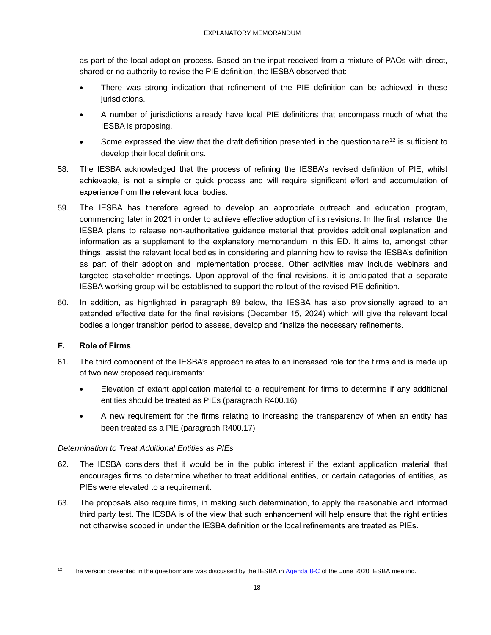as part of the local adoption process. Based on the input received from a mixture of PAOs with direct, shared or no authority to revise the PIE definition, the IESBA observed that:

- There was strong indication that refinement of the PIE definition can be achieved in these jurisdictions.
- A number of jurisdictions already have local PIE definitions that encompass much of what the IESBA is proposing.
- Some expressed the view that the draft definition presented in the questionnaire<sup>12</sup> is sufficient to develop their local definitions.
- 58. The IESBA acknowledged that the process of refining the IESBA's revised definition of PIE, whilst achievable, is not a simple or quick process and will require significant effort and accumulation of experience from the relevant local bodies.
- 59. The IESBA has therefore agreed to develop an appropriate outreach and education program, commencing later in 2021 in order to achieve effective adoption of its revisions. In the first instance, the IESBA plans to release non-authoritative guidance material that provides additional explanation and information as a supplement to the explanatory memorandum in this ED. It aims to, amongst other things, assist the relevant local bodies in considering and planning how to revise the IESBA's definition as part of their adoption and implementation process. Other activities may include webinars and targeted stakeholder meetings. Upon approval of the final revisions, it is anticipated that a separate IESBA working group will be established to support the rollout of the revised PIE definition.
- 60. In addition, as highlighted in paragraph 89 below, the IESBA has also provisionally agreed to an extended effective date for the final revisions (December 15, 2024) which will give the relevant local bodies a longer transition period to assess, develop and finalize the necessary refinements.

### **F. Role of Firms**

- 61. The third component of the IESBA's approach relates to an increased role for the firms and is made up of two new proposed requirements:
	- Elevation of extant application material to a requirement for firms to determine if any additional entities should be treated as PIEs (paragraph R400.16)
	- A new requirement for the firms relating to increasing the transparency of when an entity has been treated as a PIE (paragraph R400.17)

### *Determination to Treat Additional Entities as PIEs*

- 62. The IESBA considers that it would be in the public interest if the extant application material that encourages firms to determine whether to treat additional entities, or certain categories of entities, as PIEs were elevated to a requirement.
- 63. The proposals also require firms, in making such determination, to apply the reasonable and informed third party test. The IESBA is of the view that such enhancement will help ensure that the right entities not otherwise scoped in under the IESBA definition or the local refinements are treated as PIEs.

The version presented in the questionnaire was discussed by the IESBA in [Agenda 8-C](https://www.ethicsboard.org/meetings/june-8-12-15-2020-virtual-meeting) of the June 2020 IESBA meeting.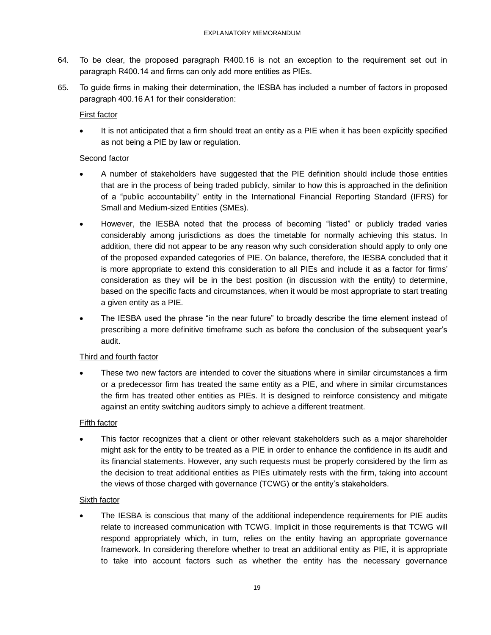- 64. To be clear, the proposed paragraph R400.16 is not an exception to the requirement set out in paragraph R400.14 and firms can only add more entities as PIEs.
- 65. To guide firms in making their determination, the IESBA has included a number of factors in proposed paragraph 400.16 A1 for their consideration:

### First factor

It is not anticipated that a firm should treat an entity as a PIE when it has been explicitly specified as not being a PIE by law or regulation.

### Second factor

- A number of stakeholders have suggested that the PIE definition should include those entities that are in the process of being traded publicly, similar to how this is approached in the definition of a "public accountability" entity in the International Financial Reporting Standard (IFRS) for Small and Medium-sized Entities (SMEs).
- However, the IESBA noted that the process of becoming "listed" or publicly traded varies considerably among jurisdictions as does the timetable for normally achieving this status. In addition, there did not appear to be any reason why such consideration should apply to only one of the proposed expanded categories of PIE. On balance, therefore, the IESBA concluded that it is more appropriate to extend this consideration to all PIEs and include it as a factor for firms' consideration as they will be in the best position (in discussion with the entity) to determine, based on the specific facts and circumstances, when it would be most appropriate to start treating a given entity as a PIE.
- The IESBA used the phrase "in the near future" to broadly describe the time element instead of prescribing a more definitive timeframe such as before the conclusion of the subsequent year's audit.

### Third and fourth factor

• These two new factors are intended to cover the situations where in similar circumstances a firm or a predecessor firm has treated the same entity as a PIE, and where in similar circumstances the firm has treated other entities as PIEs. It is designed to reinforce consistency and mitigate against an entity switching auditors simply to achieve a different treatment.

### Fifth factor

This factor recognizes that a client or other relevant stakeholders such as a major shareholder might ask for the entity to be treated as a PIE in order to enhance the confidence in its audit and its financial statements. However, any such requests must be properly considered by the firm as the decision to treat additional entities as PIEs ultimately rests with the firm, taking into account the views of those charged with governance (TCWG) or the entity's stakeholders.

### Sixth factor

The IESBA is conscious that many of the additional independence requirements for PIE audits relate to increased communication with TCWG. Implicit in those requirements is that TCWG will respond appropriately which, in turn, relies on the entity having an appropriate governance framework. In considering therefore whether to treat an additional entity as PIE, it is appropriate to take into account factors such as whether the entity has the necessary governance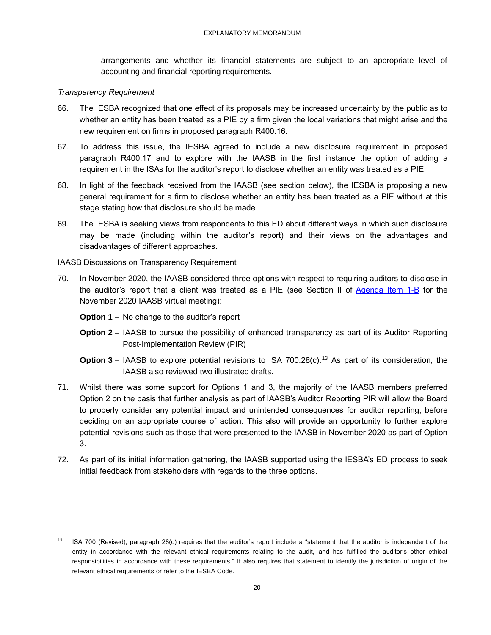arrangements and whether its financial statements are subject to an appropriate level of accounting and financial reporting requirements.

#### *Transparency Requirement*

- 66. The IESBA recognized that one effect of its proposals may be increased uncertainty by the public as to whether an entity has been treated as a PIE by a firm given the local variations that might arise and the new requirement on firms in proposed paragraph R400.16.
- 67. To address this issue, the IESBA agreed to include a new disclosure requirement in proposed paragraph R400.17 and to explore with the IAASB in the first instance the option of adding a requirement in the ISAs for the auditor's report to disclose whether an entity was treated as a PIE.
- 68. In light of the feedback received from the IAASB (see section below), the IESBA is proposing a new general requirement for a firm to disclose whether an entity has been treated as a PIE without at this stage stating how that disclosure should be made.
- 69. The IESBA is seeking views from respondents to this ED about different ways in which such disclosure may be made (including within the auditor's report) and their views on the advantages and disadvantages of different approaches.

### IAASB Discussions on Transparency Requirement

70. In November 2020, the IAASB considered three options with respect to requiring auditors to disclose in the auditor's report that a client was treated as a PIE (see Section II of [Agenda Item 1-B](https://www.iaasb.org/meetings/iaasb-conference-call-november-10-11-2020) for the November 2020 IAASB virtual meeting):

**Option 1** – No change to the auditor's report

- **Option 2** IAASB to pursue the possibility of enhanced transparency as part of its Auditor Reporting Post-Implementation Review (PIR)
- **Option 3** IAASB to explore potential revisions to ISA 700.28 $(c)$ .<sup>13</sup> As part of its consideration, the IAASB also reviewed two illustrated drafts.
- 71. Whilst there was some support for Options 1 and 3, the majority of the IAASB members preferred Option 2 on the basis that further analysis as part of IAASB's Auditor Reporting PIR will allow the Board to properly consider any potential impact and unintended consequences for auditor reporting, before deciding on an appropriate course of action. This also will provide an opportunity to further explore potential revisions such as those that were presented to the IAASB in November 2020 as part of Option 3.
- 72. As part of its initial information gathering, the IAASB supported using the IESBA's ED process to seek initial feedback from stakeholders with regards to the three options.

<sup>&</sup>lt;sup>13</sup> ISA 700 (Revised), paragraph 28(c) requires that the auditor's report include a "statement that the auditor is independent of the entity in accordance with the relevant ethical requirements relating to the audit, and has fulfilled the auditor's other ethical responsibilities in accordance with these requirements." It also requires that statement to identify the jurisdiction of origin of the relevant ethical requirements or refer to the IESBA Code.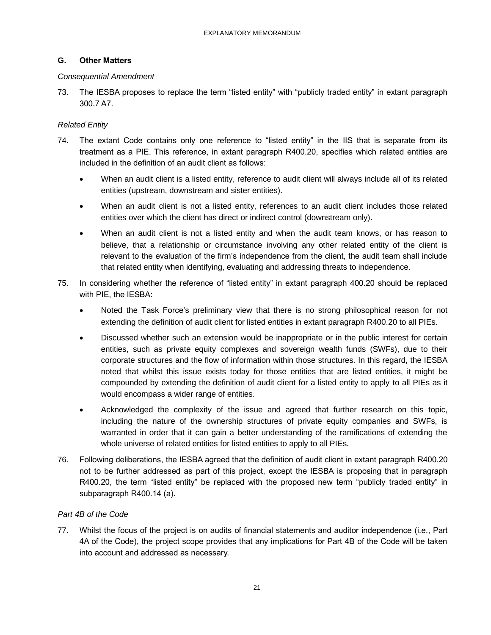### **G. Other Matters**

### *Consequential Amendment*

73. The IESBA proposes to replace the term "listed entity" with "publicly traded entity" in extant paragraph 300.7 A7.

### *Related Entity*

- 74. The extant Code contains only one reference to "listed entity" in the IIS that is separate from its treatment as a PIE. This reference, in extant paragraph R400.20, specifies which related entities are included in the definition of an audit client as follows:
	- When an audit client is a listed entity, reference to audit client will always include all of its related entities (upstream, downstream and sister entities).
	- When an audit client is not a listed entity, references to an audit client includes those related entities over which the client has direct or indirect control (downstream only).
	- When an audit client is not a listed entity and when the audit team knows, or has reason to believe, that a relationship or circumstance involving any other related entity of the client is relevant to the evaluation of the firm's independence from the client, the audit team shall include that related entity when identifying, evaluating and addressing threats to independence.
- 75. In considering whether the reference of "listed entity" in extant paragraph 400.20 should be replaced with PIE, the IESBA:
	- Noted the Task Force's preliminary view that there is no strong philosophical reason for not extending the definition of audit client for listed entities in extant paragraph R400.20 to all PIEs.
	- Discussed whether such an extension would be inappropriate or in the public interest for certain entities, such as private equity complexes and sovereign wealth funds (SWFs), due to their corporate structures and the flow of information within those structures. In this regard, the IESBA noted that whilst this issue exists today for those entities that are listed entities, it might be compounded by extending the definition of audit client for a listed entity to apply to all PIEs as it would encompass a wider range of entities.
	- Acknowledged the complexity of the issue and agreed that further research on this topic, including the nature of the ownership structures of private equity companies and SWFs, is warranted in order that it can gain a better understanding of the ramifications of extending the whole universe of related entities for listed entities to apply to all PIEs.
- 76. Following deliberations, the IESBA agreed that the definition of audit client in extant paragraph R400.20 not to be further addressed as part of this project, except the IESBA is proposing that in paragraph R400.20, the term "listed entity" be replaced with the proposed new term "publicly traded entity" in subparagraph R400.14 (a).

### *Part 4B of the Code*

77. Whilst the focus of the project is on audits of financial statements and auditor independence (i.e., Part 4A of the Code), the project scope provides that any implications for Part 4B of the Code will be taken into account and addressed as necessary.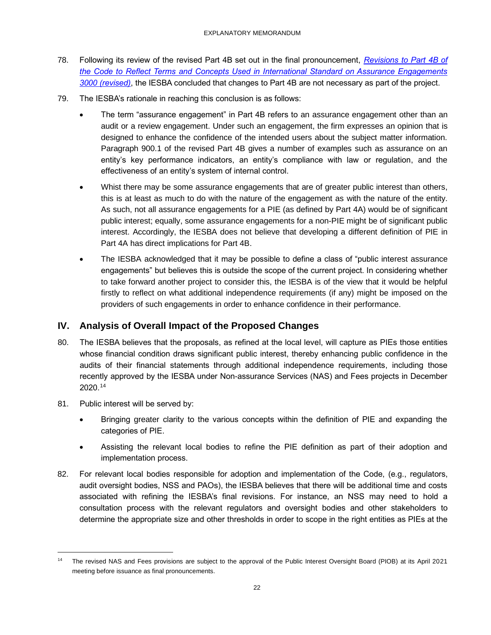- 78. Following its review of the revised Part 4B set out in the final pronouncement, *[Revisions to Part 4B of](https://www.ethicsboard.org/publications/final-pronouncement-alignment-part-4b-code-isae-3000-revised)  [the Code to Reflect Terms and Concepts Used in International Standard on Assurance Engagements](https://www.ethicsboard.org/publications/final-pronouncement-alignment-part-4b-code-isae-3000-revised)  [3000 \(revised\)](https://www.ethicsboard.org/publications/final-pronouncement-alignment-part-4b-code-isae-3000-revised)*, the IESBA concluded that changes to Part 4B are not necessary as part of the project.
- 79. The IESBA's rationale in reaching this conclusion is as follows:
	- The term "assurance engagement" in Part 4B refers to an assurance engagement other than an audit or a review engagement. Under such an engagement, the firm expresses an opinion that is designed to enhance the confidence of the intended users about the subject matter information. Paragraph 900.1 of the revised Part 4B gives a number of examples such as assurance on an entity's key performance indicators, an entity's compliance with law or regulation, and the effectiveness of an entity's system of internal control.
	- Whist there may be some assurance engagements that are of greater public interest than others, this is at least as much to do with the nature of the engagement as with the nature of the entity. As such, not all assurance engagements for a PIE (as defined by Part 4A) would be of significant public interest; equally, some assurance engagements for a non-PIE might be of significant public interest. Accordingly, the IESBA does not believe that developing a different definition of PIE in Part 4A has direct implications for Part 4B.
	- The IESBA acknowledged that it may be possible to define a class of "public interest assurance" engagements" but believes this is outside the scope of the current project. In considering whether to take forward another project to consider this, the IESBA is of the view that it would be helpful firstly to reflect on what additional independence requirements (if any) might be imposed on the providers of such engagements in order to enhance confidence in their performance.

# <span id="page-21-0"></span>**IV. Analysis of Overall Impact of the Proposed Changes**

- 80. The IESBA believes that the proposals, as refined at the local level, will capture as PIEs those entities whose financial condition draws significant public interest, thereby enhancing public confidence in the audits of their financial statements through additional independence requirements, including those recently approved by the IESBA under Non-assurance Services (NAS) and Fees projects in December 2020.<sup>14</sup>
- 81. Public interest will be served by:
	- Bringing greater clarity to the various concepts within the definition of PIE and expanding the categories of PIE.
	- Assisting the relevant local bodies to refine the PIE definition as part of their adoption and implementation process.
- 82. For relevant local bodies responsible for adoption and implementation of the Code, (e.g., regulators, audit oversight bodies, NSS and PAOs), the IESBA believes that there will be additional time and costs associated with refining the IESBA's final revisions. For instance, an NSS may need to hold a consultation process with the relevant regulators and oversight bodies and other stakeholders to determine the appropriate size and other thresholds in order to scope in the right entities as PIEs at the

<sup>&</sup>lt;sup>14</sup> The revised NAS and Fees provisions are subject to the approval of the Public Interest Oversight Board (PIOB) at its April 2021 meeting before issuance as final pronouncements.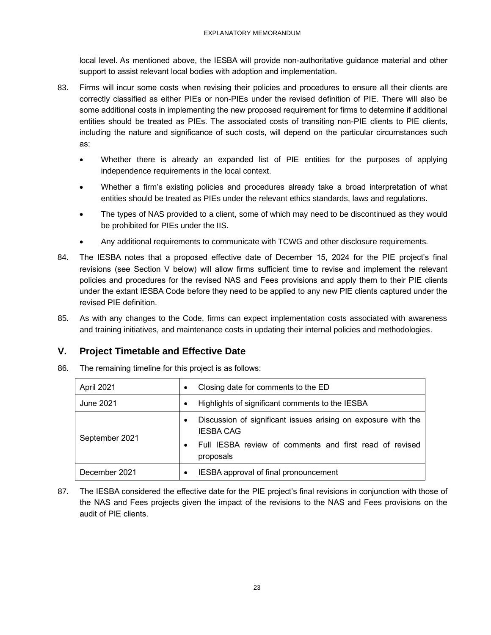local level. As mentioned above, the IESBA will provide non-authoritative guidance material and other support to assist relevant local bodies with adoption and implementation.

- 83. Firms will incur some costs when revising their policies and procedures to ensure all their clients are correctly classified as either PIEs or non-PIEs under the revised definition of PIE. There will also be some additional costs in implementing the new proposed requirement for firms to determine if additional entities should be treated as PIEs. The associated costs of transiting non-PIE clients to PIE clients, including the nature and significance of such costs, will depend on the particular circumstances such as:
	- Whether there is already an expanded list of PIE entities for the purposes of applying independence requirements in the local context.
	- Whether a firm's existing policies and procedures already take a broad interpretation of what entities should be treated as PIEs under the relevant ethics standards, laws and regulations.
	- The types of NAS provided to a client, some of which may need to be discontinued as they would be prohibited for PIEs under the IIS.
	- Any additional requirements to communicate with TCWG and other disclosure requirements.
- 84. The IESBA notes that a proposed effective date of December 15, 2024 for the PIE project's final revisions (see Section V below) will allow firms sufficient time to revise and implement the relevant policies and procedures for the revised NAS and Fees provisions and apply them to their PIE clients under the extant IESBA Code before they need to be applied to any new PIE clients captured under the revised PIE definition.
- 85. As with any changes to the Code, firms can expect implementation costs associated with awareness and training initiatives, and maintenance costs in updating their internal policies and methodologies.

# <span id="page-22-0"></span>**V. Project Timetable and Effective Date**

| April 2021     | Closing date for comments to the ED<br>$\bullet$                                                                                                          |
|----------------|-----------------------------------------------------------------------------------------------------------------------------------------------------------|
| June 2021      | Highlights of significant comments to the IESBA<br>$\bullet$                                                                                              |
| September 2021 | Discussion of significant issues arising on exposure with the<br><b>IESBA CAG</b><br>Full IESBA review of comments and first read of revised<br>proposals |
| December 2021  | IESBA approval of final pronouncement                                                                                                                     |

86. The remaining timeline for this project is as follows:

87. The IESBA considered the effective date for the PIE project's final revisions in conjunction with those of the NAS and Fees projects given the impact of the revisions to the NAS and Fees provisions on the audit of PIE clients.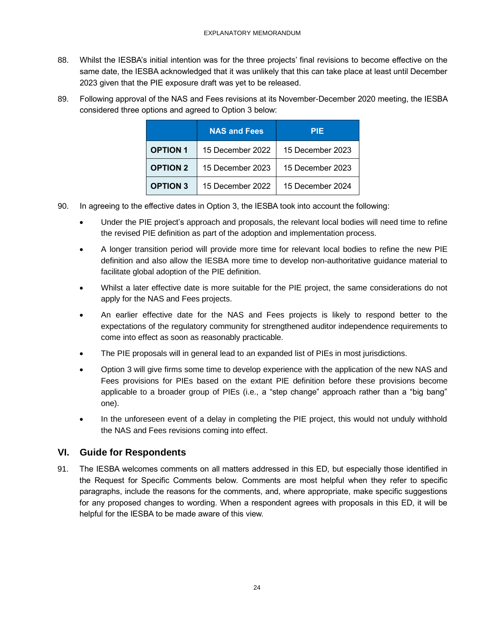- 88. Whilst the IESBA's initial intention was for the three projects' final revisions to become effective on the same date, the IESBA acknowledged that it was unlikely that this can take place at least until December 2023 given that the PIE exposure draft was yet to be released.
- 89. Following approval of the NAS and Fees revisions at its November-December 2020 meeting, the IESBA considered three options and agreed to Option 3 below:

|                 | <b>NAS and Fees</b> | <b>PIE</b>       |
|-----------------|---------------------|------------------|
| <b>OPTION 1</b> | 15 December 2022    | 15 December 2023 |
| <b>OPTION 2</b> | 15 December 2023    | 15 December 2023 |
| <b>OPTION 3</b> | 15 December 2022    | 15 December 2024 |

- 90. In agreeing to the effective dates in Option 3, the IESBA took into account the following:
	- Under the PIE project's approach and proposals, the relevant local bodies will need time to refine the revised PIE definition as part of the adoption and implementation process.
	- A longer transition period will provide more time for relevant local bodies to refine the new PIE definition and also allow the IESBA more time to develop non-authoritative guidance material to facilitate global adoption of the PIE definition.
	- Whilst a later effective date is more suitable for the PIE project, the same considerations do not apply for the NAS and Fees projects.
	- An earlier effective date for the NAS and Fees projects is likely to respond better to the expectations of the regulatory community for strengthened auditor independence requirements to come into effect as soon as reasonably practicable.
	- The PIE proposals will in general lead to an expanded list of PIEs in most jurisdictions.
	- Option 3 will give firms some time to develop experience with the application of the new NAS and Fees provisions for PIEs based on the extant PIE definition before these provisions become applicable to a broader group of PIEs (i.e., a "step change" approach rather than a "big bang" one).
	- In the unforeseen event of a delay in completing the PIE project, this would not unduly withhold the NAS and Fees revisions coming into effect.

# <span id="page-23-0"></span>**VI. Guide for Respondents**

91. The IESBA welcomes comments on all matters addressed in this ED, but especially those identified in the Request for Specific Comments below. Comments are most helpful when they refer to specific paragraphs, include the reasons for the comments, and, where appropriate, make specific suggestions for any proposed changes to wording. When a respondent agrees with proposals in this ED, it will be helpful for the IESBA to be made aware of this view.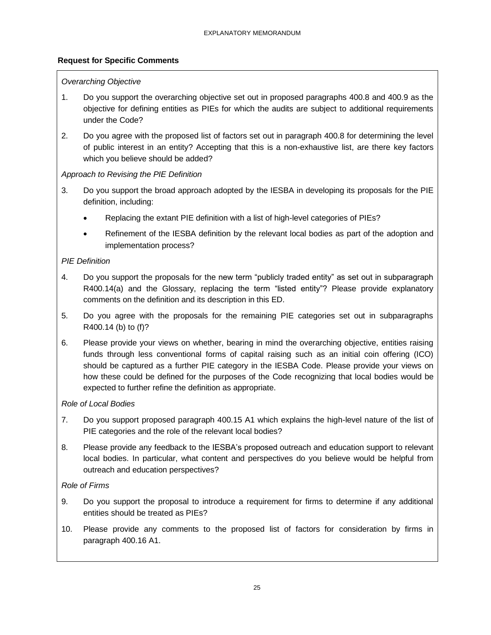# **Request for Specific Comments**

### *Overarching Objective*

- 1. Do you support the overarching objective set out in proposed paragraphs 400.8 and 400.9 as the objective for defining entities as PIEs for which the audits are subject to additional requirements under the Code?
- 2. Do you agree with the proposed list of factors set out in paragraph 400.8 for determining the level of public interest in an entity? Accepting that this is a non-exhaustive list, are there key factors which you believe should be added?

### *Approach to Revising the PIE Definition*

- 3. Do you support the broad approach adopted by the IESBA in developing its proposals for the PIE definition, including:
	- Replacing the extant PIE definition with a list of high-level categories of PIEs?
	- Refinement of the IESBA definition by the relevant local bodies as part of the adoption and implementation process?

### *PIE Definition*

- 4. Do you support the proposals for the new term "publicly traded entity" as set out in subparagraph R400.14(a) and the Glossary, replacing the term "listed entity"? Please provide explanatory comments on the definition and its description in this ED.
- 5. Do you agree with the proposals for the remaining PIE categories set out in subparagraphs R400.14 (b) to (f)?
- 6. Please provide your views on whether, bearing in mind the overarching objective, entities raising funds through less conventional forms of capital raising such as an initial coin offering (ICO) should be captured as a further PIE category in the IESBA Code. Please provide your views on how these could be defined for the purposes of the Code recognizing that local bodies would be expected to further refine the definition as appropriate.

### *Role of Local Bodies*

- 7. Do you support proposed paragraph 400.15 A1 which explains the high-level nature of the list of PIE categories and the role of the relevant local bodies?
- 8. Please provide any feedback to the IESBA's proposed outreach and education support to relevant local bodies. In particular, what content and perspectives do you believe would be helpful from outreach and education perspectives?

# *Role of Firms*

- 9. Do you support the proposal to introduce a requirement for firms to determine if any additional entities should be treated as PIEs?
- 10. Please provide any comments to the proposed list of factors for consideration by firms in paragraph 400.16 A1.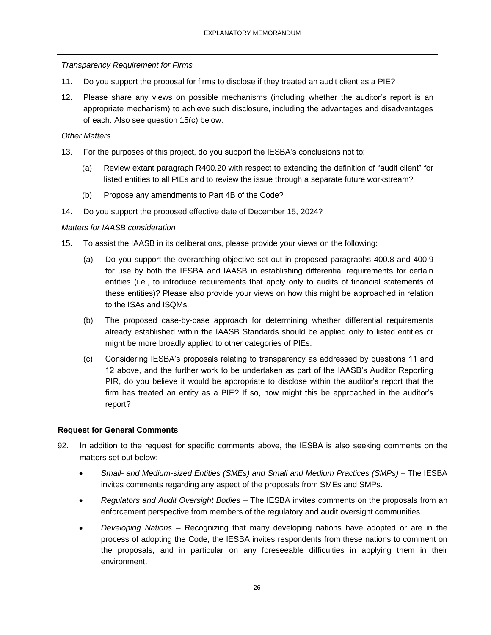*Transparency Requirement for Firms*

- 11. Do you support the proposal for firms to disclose if they treated an audit client as a PIE?
- 12. Please share any views on possible mechanisms (including whether the auditor's report is an appropriate mechanism) to achieve such disclosure, including the advantages and disadvantages of each. Also see question 15(c) below.

### *Other Matters*

- 13. For the purposes of this project, do you support the IESBA's conclusions not to:
	- (a) Review extant paragraph R400.20 with respect to extending the definition of "audit client" for listed entities to all PIEs and to review the issue through a separate future workstream?
	- (b) Propose any amendments to Part 4B of the Code?
- 14. Do you support the proposed effective date of December 15, 2024?

### *Matters for IAASB consideration*

- 15. To assist the IAASB in its deliberations, please provide your views on the following:
	- (a) Do you support the overarching objective set out in proposed paragraphs 400.8 and 400.9 for use by both the IESBA and IAASB in establishing differential requirements for certain entities (i.e., to introduce requirements that apply only to audits of financial statements of these entities)? Please also provide your views on how this might be approached in relation to the ISAs and ISQMs.
	- (b) The proposed case-by-case approach for determining whether differential requirements already established within the IAASB Standards should be applied only to listed entities or might be more broadly applied to other categories of PIEs.
	- (c) Considering IESBA's proposals relating to transparency as addressed by questions 11 and 12 above, and the further work to be undertaken as part of the IAASB's Auditor Reporting PIR, do you believe it would be appropriate to disclose within the auditor's report that the firm has treated an entity as a PIE? If so, how might this be approached in the auditor's report?

# **Request for General Comments**

- 92. In addition to the request for specific comments above, the IESBA is also seeking comments on the matters set out below:
	- *Small- and Medium-sized Entities (SMEs) and Small and Medium Practices (SMPs) –* The IESBA invites comments regarding any aspect of the proposals from SMEs and SMPs.
	- *Regulators and Audit Oversight Bodies –* The IESBA invites comments on the proposals from an enforcement perspective from members of the regulatory and audit oversight communities.
	- *Developing Nations –* Recognizing that many developing nations have adopted or are in the process of adopting the Code, the IESBA invites respondents from these nations to comment on the proposals, and in particular on any foreseeable difficulties in applying them in their environment.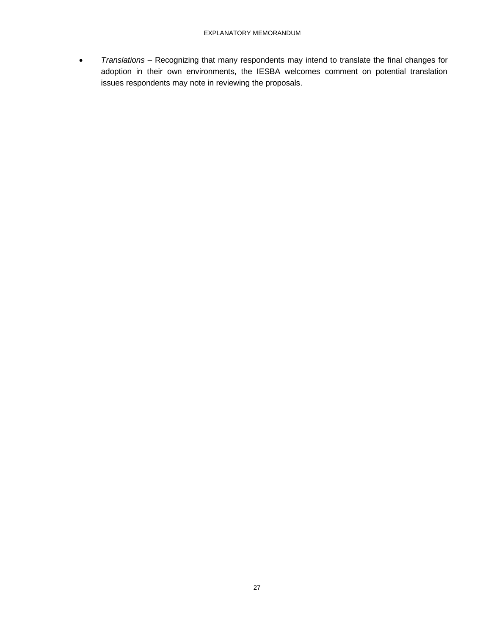• *Translations –* Recognizing that many respondents may intend to translate the final changes for adoption in their own environments, the IESBA welcomes comment on potential translation issues respondents may note in reviewing the proposals.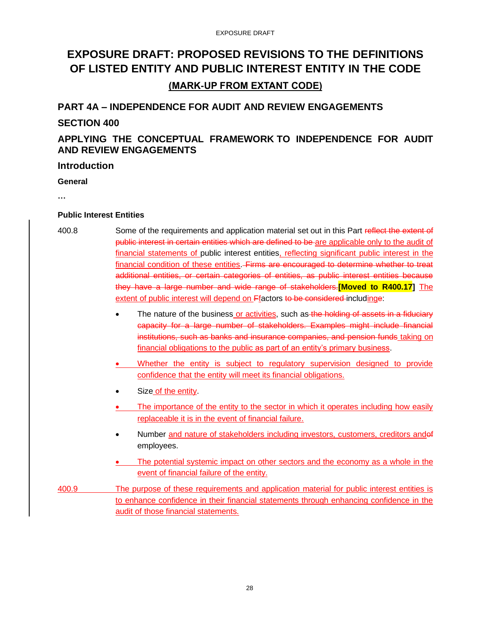# <span id="page-27-0"></span>**EXPOSURE DRAFT: PROPOSED REVISIONS TO THE DEFINITIONS OF LISTED ENTITY AND PUBLIC INTEREST ENTITY IN THE CODE (MARK-UP FROM EXTANT CODE)**

# **PART 4A – INDEPENDENCE FOR AUDIT AND REVIEW ENGAGEMENTS**

# **SECTION 400**

# **APPLYING THE CONCEPTUAL FRAMEWORK TO INDEPENDENCE FOR AUDIT AND REVIEW ENGAGEMENTS**

### **Introduction**

### **General**

**…**

### **Public Interest Entities**

- 400.8 Some of the requirements and application material set out in this Part reflect the extent of public interest in certain entities which are defined to be are applicable only to the audit of financial statements of public interest entities, reflecting significant public interest in the financial condition of these entities. Firms are encouraged to determine whether to treat additional entities, or certain categories of entities, as public interest entities because they have a large number and wide range of stakeholders.**[Moved to R400.17]** The extent of public interest will depend on Ffactors to be considered includinge:
	- The nature of the business or activities, such as the holding of assets in a fiduciary capacity for a large number of stakeholders. Examples might include financial institutions, such as banks and insurance companies, and pension funds taking on financial obligations to the public as part of an entity's primary business.
	- Whether the entity is subject to regulatory supervision designed to provide confidence that the entity will meet its financial obligations.
	- Size of the entity.
	- The importance of the entity to the sector in which it operates including how easily replaceable it is in the event of financial failure.
	- Number and nature of stakeholders including investors, customers, creditors andof employees.
	- The potential systemic impact on other sectors and the economy as a whole in the event of financial failure of the entity.
- 400.9 The purpose of these requirements and application material for public interest entities is to enhance confidence in their financial statements through enhancing confidence in the audit of those financial statements.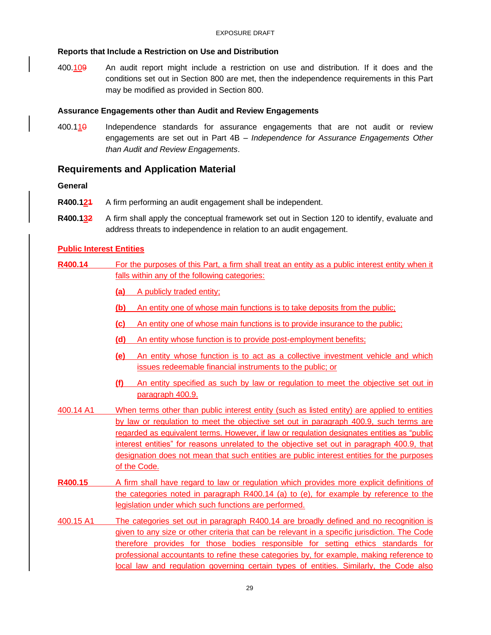### **Reports that Include a Restriction on Use and Distribution**

400.109 An audit report might include a restriction on use and distribution. If it does and the conditions set out in Section 800 are met, then the independence requirements in this Part may be modified as provided in Section 800.

### **Assurance Engagements other than Audit and Review Engagements**

 $400.110$  Independence standards for assurance engagements that are not audit or review engagements are set out in Part 4B – *Independence for Assurance Engagements Other than Audit and Review Engagements*.

# **Requirements and Application Material**

### **General**

- **R400.121** A firm performing an audit engagement shall be independent.
- **R400.132** A firm shall apply the conceptual framework set out in Section 120 to identify, evaluate and address threats to independence in relation to an audit engagement.

### **Public Interest Entities**

**R400.14** For the purposes of this Part, a firm shall treat an entity as a public interest entity when it falls within any of the following categories:

- **(a)** A publicly traded entity;
- **(b)** An entity one of whose main functions is to take deposits from the public;
- **(c)** An entity one of whose main functions is to provide insurance to the public;
- **(d)** An entity whose function is to provide post-employment benefits;
- **(e)** An entity whose function is to act as a collective investment vehicle and which issues redeemable financial instruments to the public; or
- **(f)** An entity specified as such by law or regulation to meet the objective set out in paragraph 400.9.
- 400.14 A1 When terms other than public interest entity (such as listed entity) are applied to entities by law or regulation to meet the objective set out in paragraph 400.9, such terms are regarded as equivalent terms. However, if law or regulation designates entities as "public interest entities" for reasons unrelated to the objective set out in paragraph 400.9, that designation does not mean that such entities are public interest entities for the purposes of the Code.
- **R400.15** A firm shall have regard to law or regulation which provides more explicit definitions of the categories noted in paragraph R400.14 (a) to (e), for example by reference to the legislation under which such functions are performed.
- 400.15 A1 The categories set out in paragraph R400.14 are broadly defined and no recognition is given to any size or other criteria that can be relevant in a specific jurisdiction. The Code therefore provides for those bodies responsible for setting ethics standards for professional accountants to refine these categories by, for example, making reference to local law and regulation governing certain types of entities. Similarly, the Code also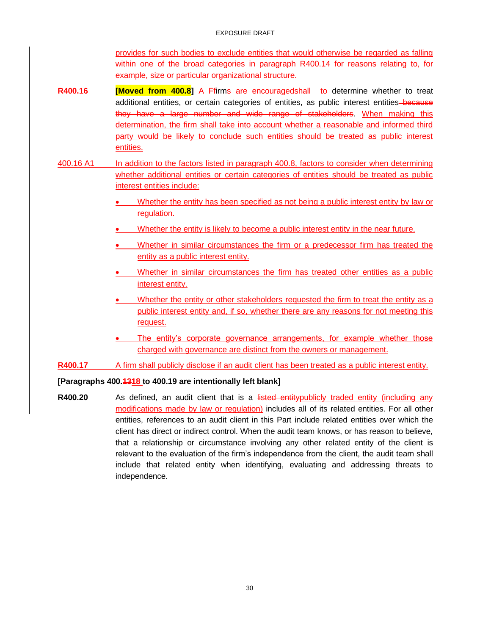provides for such bodies to exclude entities that would otherwise be regarded as falling within one of the broad categories in paragraph R400.14 for reasons relating to, for example, size or particular organizational structure.

- **R400.16 [Moved from 400.8]** A Ffirms are encouragedshall -to determine whether to treat additional entities, or certain categories of entities, as public interest entities-because they have a large number and wide range of stakeholders. When making this determination, the firm shall take into account whether a reasonable and informed third party would be likely to conclude such entities should be treated as public interest entities.
- 400.16 A1 In addition to the factors listed in paragraph 400.8, factors to consider when determining whether additional entities or certain categories of entities should be treated as public interest entities include:
	- Whether the entity has been specified as not being a public interest entity by law or regulation.
	- Whether the entity is likely to become a public interest entity in the near future.
	- Whether in similar circumstances the firm or a predecessor firm has treated the entity as a public interest entity.
	- Whether in similar circumstances the firm has treated other entities as a public interest entity.
	- Whether the entity or other stakeholders requested the firm to treat the entity as a public interest entity and, if so, whether there are any reasons for not meeting this request.
	- The entity's corporate governance arrangements, for example whether those charged with governance are distinct from the owners or management.
- **R400.17** A firm shall publicly disclose if an audit client has been treated as a public interest entity.

#### **[Paragraphs 400.1318 to 400.19 are intentionally left blank]**

**R400.20** As defined, an audit client that is a listed entitypublicly traded entity (including any modifications made by law or regulation) includes all of its related entities. For all other entities, references to an audit client in this Part include related entities over which the client has direct or indirect control. When the audit team knows, or has reason to believe, that a relationship or circumstance involving any other related entity of the client is relevant to the evaluation of the firm's independence from the client, the audit team shall include that related entity when identifying, evaluating and addressing threats to independence.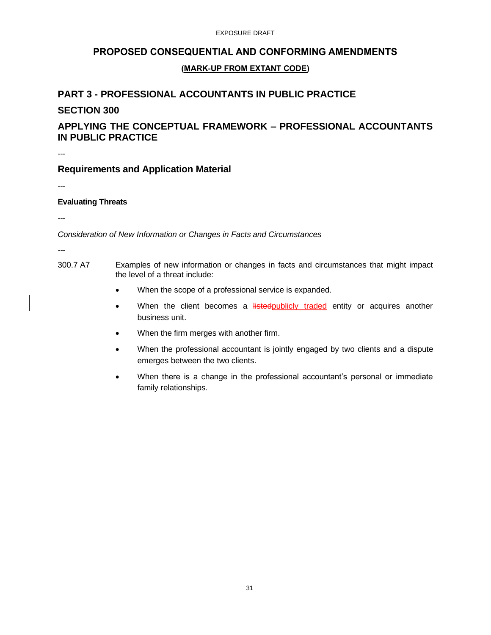#### EXPOSURE DRAFT

# **PROPOSED CONSEQUENTIAL AND CONFORMING AMENDMENTS**

### **(MARK-UP FROM EXTANT CODE)**

# **PART 3 - PROFESSIONAL ACCOUNTANTS IN PUBLIC PRACTICE**

## **SECTION 300**

# **APPLYING THE CONCEPTUAL FRAMEWORK – PROFESSIONAL ACCOUNTANTS IN PUBLIC PRACTICE**

---

# **Requirements and Application Material**

---

### **Evaluating Threats**

---

*Consideration of New Information or Changes in Facts and Circumstances*

- *---*
- 300.7 A7 Examples of new information or changes in facts and circumstances that might impact the level of a threat include:
	- When the scope of a professional service is expanded.
	- When the client becomes a **listedpublicly traded** entity or acquires another business unit.
	- When the firm merges with another firm.
	- When the professional accountant is jointly engaged by two clients and a dispute emerges between the two clients.
	- When there is a change in the professional accountant's personal or immediate family relationships.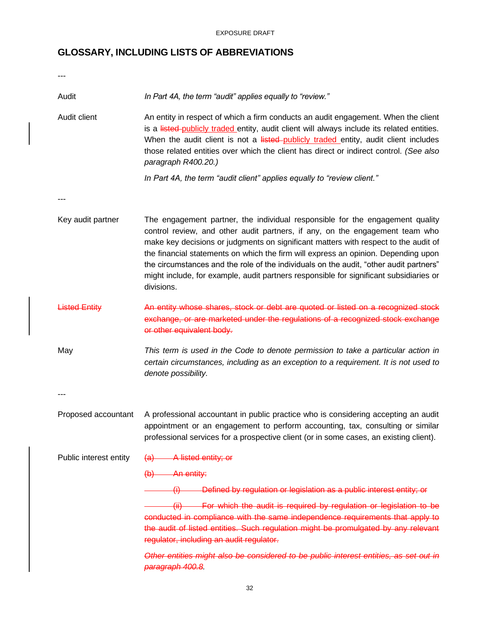EXPOSURE DRAFT

# **GLOSSARY, INCLUDING LISTS OF ABBREVIATIONS**

| Audit                  | In Part 4A, the term "audit" applies equally to "review."                                                                                                                                                                                                                                                                                                                                                                                                                                                                                    |
|------------------------|----------------------------------------------------------------------------------------------------------------------------------------------------------------------------------------------------------------------------------------------------------------------------------------------------------------------------------------------------------------------------------------------------------------------------------------------------------------------------------------------------------------------------------------------|
| Audit client           | An entity in respect of which a firm conducts an audit engagement. When the client<br>is a listed-publicly traded entity, audit client will always include its related entities.<br>When the audit client is not a listed-publicly traded entity, audit client includes<br>those related entities over which the client has direct or indirect control. (See also<br>paragraph R400.20.)                                                                                                                                                     |
|                        | In Part 4A, the term "audit client" applies equally to "review client."                                                                                                                                                                                                                                                                                                                                                                                                                                                                      |
|                        |                                                                                                                                                                                                                                                                                                                                                                                                                                                                                                                                              |
| Key audit partner      | The engagement partner, the individual responsible for the engagement quality<br>control review, and other audit partners, if any, on the engagement team who<br>make key decisions or judgments on significant matters with respect to the audit of<br>the financial statements on which the firm will express an opinion. Depending upon<br>the circumstances and the role of the individuals on the audit, "other audit partners"<br>might include, for example, audit partners responsible for significant subsidiaries or<br>divisions. |
| <b>Listed Entity</b>   | An entity whose shares, stock or debt are quoted or listed on a recognized stock<br>exchange, or are marketed under the regulations of a recognized stock exchange<br>or other equivalent body.                                                                                                                                                                                                                                                                                                                                              |
| May                    | This term is used in the Code to denote permission to take a particular action in<br>certain circumstances, including as an exception to a requirement. It is not used to<br>denote possibility.                                                                                                                                                                                                                                                                                                                                             |
|                        |                                                                                                                                                                                                                                                                                                                                                                                                                                                                                                                                              |
| Proposed accountant    | A professional accountant in public practice who is considering accepting an audit<br>appointment or an engagement to perform accounting, tax, consulting or similar<br>professional services for a prospective client (or in some cases, an existing client).                                                                                                                                                                                                                                                                               |
| Public interest entity | $(a)$ A listed entity; or                                                                                                                                                                                                                                                                                                                                                                                                                                                                                                                    |
|                        | $(b)$ An entity:                                                                                                                                                                                                                                                                                                                                                                                                                                                                                                                             |
|                        | (i) Defined by regulation or legislation as a public interest entity; or                                                                                                                                                                                                                                                                                                                                                                                                                                                                     |
|                        | (ii) For which the audit is required by regulation or legislation to be<br>conducted in compliance with the same independence requirements that apply to<br>the audit of listed entities. Such regulation might be promulgated by any relevant<br>regulator, including an audit regulator.                                                                                                                                                                                                                                                   |
|                        | Other entities might also be considered to be public interest entities, as set out in<br>paragraph 400.8                                                                                                                                                                                                                                                                                                                                                                                                                                     |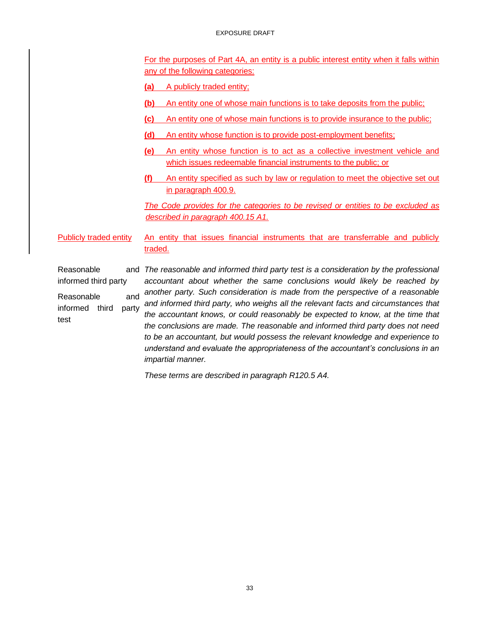#### EXPOSURE DRAFT

For the purposes of Part 4A, an entity is a public interest entity when it falls within any of the following categories:

**(a)** A publicly traded entity;

- **(b)** An entity one of whose main functions is to take deposits from the public;
- **(c)** An entity one of whose main functions is to provide insurance to the public;
- **(d)** An entity whose function is to provide post-employment benefits;
- **(e)** An entity whose function is to act as a collective investment vehicle and which issues redeemable financial instruments to the public; or
- **(f)** An entity specified as such by law or regulation to meet the objective set out in paragraph 400.9.

*The Code provides for the categories to be revised or entities to be excluded as described in paragraph 400.15 A1.*

Publicly traded entity An entity that issues financial instruments that are transferrable and publicly traded.

Reasonable informed third party Reasonable and informed third party test and *The reasonable and informed third party test is a consideration by the professional accountant about whether the same conclusions would likely be reached by another party. Such consideration is made from the perspective of a reasonable and informed third party, who weighs all the relevant facts and circumstances that the accountant knows, or could reasonably be expected to know, at the time that the conclusions are made. The reasonable and informed third party does not need to be an accountant, but would possess the relevant knowledge and experience to understand and evaluate the appropriateness of the accountant's conclusions in an impartial manner.* 

*These terms are described in paragraph R120.5 A4.*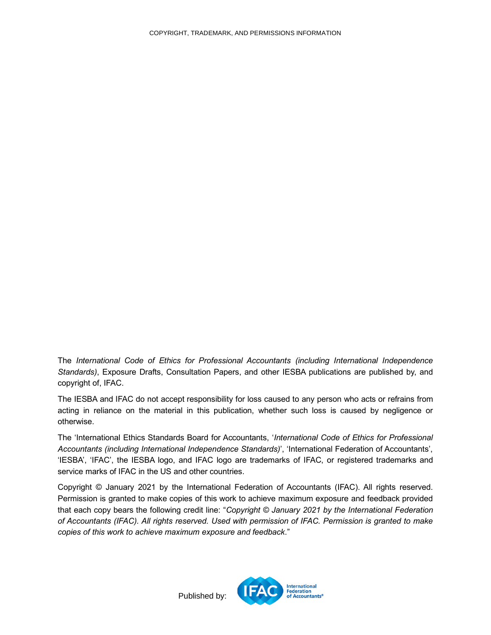<span id="page-33-0"></span>The *International Code of Ethics for Professional Accountants (including International Independence Standards)*, Exposure Drafts, Consultation Papers, and other IESBA publications are published by, and copyright of, IFAC.

The IESBA and IFAC do not accept responsibility for loss caused to any person who acts or refrains from acting in reliance on the material in this publication, whether such loss is caused by negligence or otherwise.

The 'International Ethics Standards Board for Accountants, '*International Code of Ethics for Professional Accountants (including International Independence Standards)*', 'International Federation of Accountants', 'IESBA', 'IFAC', the IESBA logo, and IFAC logo are trademarks of IFAC, or registered trademarks and service marks of IFAC in the US and other countries.

Copyright © January 2021 by the International Federation of Accountants (IFAC). All rights reserved. Permission is granted to make copies of this work to achieve maximum exposure and feedback provided that each copy bears the following credit line: "*Copyright © January 2021 by the International Federation of Accountants (IFAC). All rights reserved. Used with permission of IFAC. Permission is granted to make copies of this work to achieve maximum exposure and feedback*."